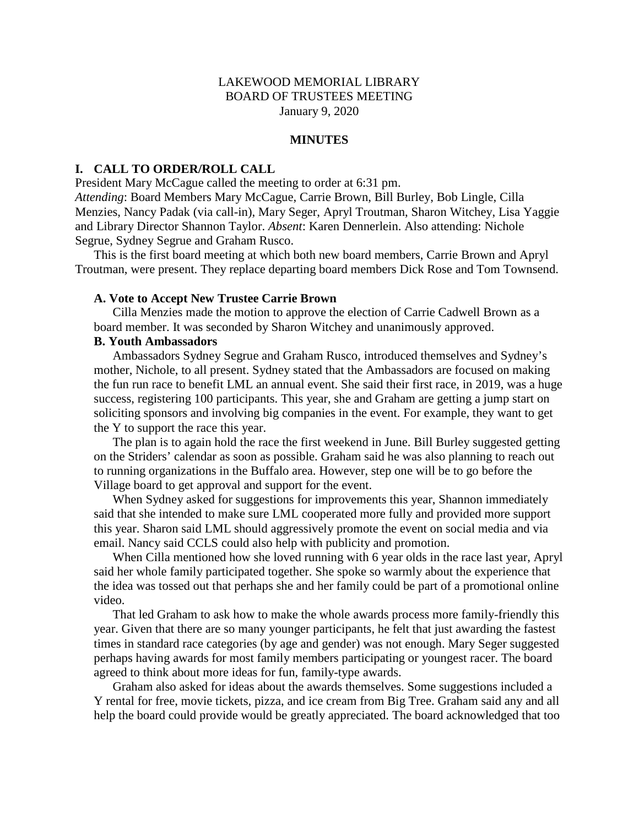### LAKEWOOD MEMORIAL LIBRARY BOARD OF TRUSTEES MEETING January 9, 2020

#### **MINUTES**

#### **I. CALL TO ORDER/ROLL CALL**

President Mary McCague called the meeting to order at 6:31 pm.

*Attending*: Board Members Mary McCague, Carrie Brown, Bill Burley, Bob Lingle, Cilla Menzies, Nancy Padak (via call-in), Mary Seger, Apryl Troutman, Sharon Witchey, Lisa Yaggie and Library Director Shannon Taylor. *Absent*: Karen Dennerlein. Also attending: Nichole Segrue, Sydney Segrue and Graham Rusco.

This is the first board meeting at which both new board members, Carrie Brown and Apryl Troutman, were present. They replace departing board members Dick Rose and Tom Townsend.

#### **A. Vote to Accept New Trustee Carrie Brown**

Cilla Menzies made the motion to approve the election of Carrie Cadwell Brown as a board member. It was seconded by Sharon Witchey and unanimously approved.

### **B. Youth Ambassadors**

Ambassadors Sydney Segrue and Graham Rusco, introduced themselves and Sydney's mother, Nichole, to all present. Sydney stated that the Ambassadors are focused on making the fun run race to benefit LML an annual event. She said their first race, in 2019, was a huge success, registering 100 participants. This year, she and Graham are getting a jump start on soliciting sponsors and involving big companies in the event. For example, they want to get the Y to support the race this year.

The plan is to again hold the race the first weekend in June. Bill Burley suggested getting on the Striders' calendar as soon as possible. Graham said he was also planning to reach out to running organizations in the Buffalo area. However, step one will be to go before the Village board to get approval and support for the event.

When Sydney asked for suggestions for improvements this year, Shannon immediately said that she intended to make sure LML cooperated more fully and provided more support this year. Sharon said LML should aggressively promote the event on social media and via email. Nancy said CCLS could also help with publicity and promotion.

When Cilla mentioned how she loved running with 6 year olds in the race last year, Apryl said her whole family participated together. She spoke so warmly about the experience that the idea was tossed out that perhaps she and her family could be part of a promotional online video.

That led Graham to ask how to make the whole awards process more family-friendly this year. Given that there are so many younger participants, he felt that just awarding the fastest times in standard race categories (by age and gender) was not enough. Mary Seger suggested perhaps having awards for most family members participating or youngest racer. The board agreed to think about more ideas for fun, family-type awards.

Graham also asked for ideas about the awards themselves. Some suggestions included a Y rental for free, movie tickets, pizza, and ice cream from Big Tree. Graham said any and all help the board could provide would be greatly appreciated. The board acknowledged that too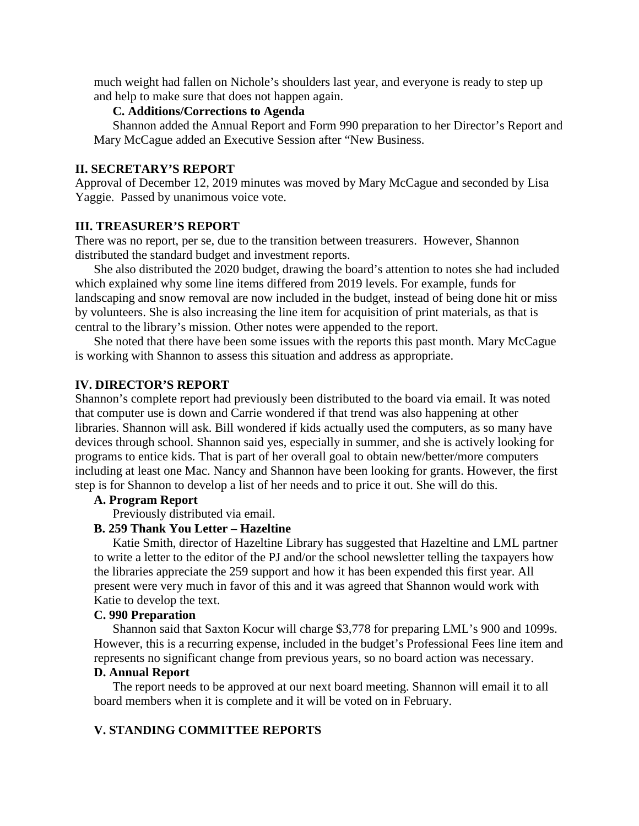much weight had fallen on Nichole's shoulders last year, and everyone is ready to step up and help to make sure that does not happen again.

### **C. Additions/Corrections to Agenda**

Shannon added the Annual Report and Form 990 preparation to her Director's Report and Mary McCague added an Executive Session after "New Business.

#### **II. SECRETARY'S REPORT**

Approval of December 12, 2019 minutes was moved by Mary McCague and seconded by Lisa Yaggie. Passed by unanimous voice vote.

# **III. TREASURER'S REPORT**

There was no report, per se, due to the transition between treasurers. However, Shannon distributed the standard budget and investment reports.

She also distributed the 2020 budget, drawing the board's attention to notes she had included which explained why some line items differed from 2019 levels. For example, funds for landscaping and snow removal are now included in the budget, instead of being done hit or miss by volunteers. She is also increasing the line item for acquisition of print materials, as that is central to the library's mission. Other notes were appended to the report.

She noted that there have been some issues with the reports this past month. Mary McCague is working with Shannon to assess this situation and address as appropriate.

### **IV. DIRECTOR'S REPORT**

Shannon's complete report had previously been distributed to the board via email. It was noted that computer use is down and Carrie wondered if that trend was also happening at other libraries. Shannon will ask. Bill wondered if kids actually used the computers, as so many have devices through school. Shannon said yes, especially in summer, and she is actively looking for programs to entice kids. That is part of her overall goal to obtain new/better/more computers including at least one Mac. Nancy and Shannon have been looking for grants. However, the first step is for Shannon to develop a list of her needs and to price it out. She will do this.

#### **A. Program Report**

Previously distributed via email.

#### **B. 259 Thank You Letter – Hazeltine**

Katie Smith, director of Hazeltine Library has suggested that Hazeltine and LML partner to write a letter to the editor of the PJ and/or the school newsletter telling the taxpayers how the libraries appreciate the 259 support and how it has been expended this first year. All present were very much in favor of this and it was agreed that Shannon would work with Katie to develop the text.

### **C. 990 Preparation**

Shannon said that Saxton Kocur will charge \$3,778 for preparing LML's 900 and 1099s. However, this is a recurring expense, included in the budget's Professional Fees line item and represents no significant change from previous years, so no board action was necessary.

#### **D. Annual Report**

The report needs to be approved at our next board meeting. Shannon will email it to all board members when it is complete and it will be voted on in February.

### **V. STANDING COMMITTEE REPORTS**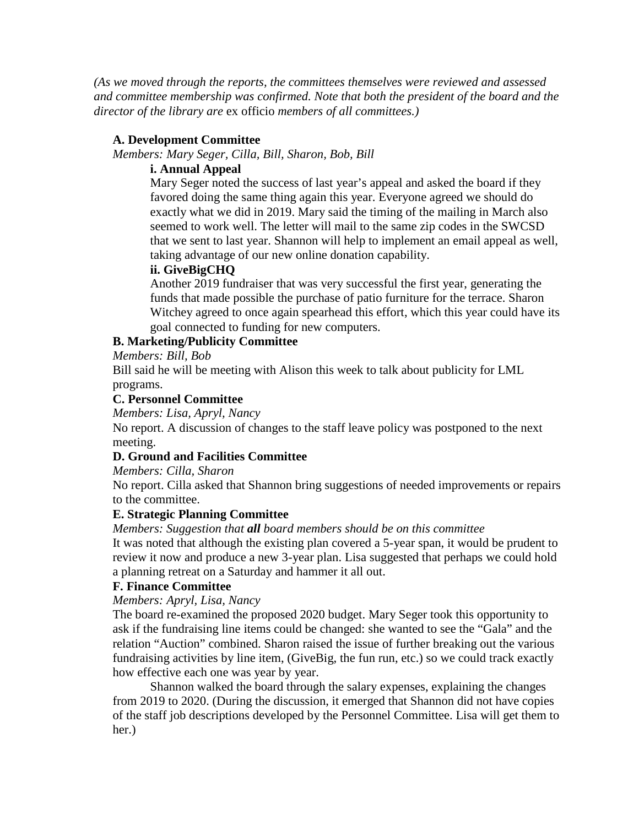*(As we moved through the reports, the committees themselves were reviewed and assessed and committee membership was confirmed. Note that both the president of the board and the director of the library are* ex officio *members of all committees.)*

# **A. Development Committee**

*Members: Mary Seger, Cilla, Bill, Sharon, Bob, Bill*

# **i. Annual Appeal**

Mary Seger noted the success of last year's appeal and asked the board if they favored doing the same thing again this year. Everyone agreed we should do exactly what we did in 2019. Mary said the timing of the mailing in March also seemed to work well. The letter will mail to the same zip codes in the SWCSD that we sent to last year. Shannon will help to implement an email appeal as well, taking advantage of our new online donation capability.

## **ii. GiveBigCHQ**

Another 2019 fundraiser that was very successful the first year, generating the funds that made possible the purchase of patio furniture for the terrace. Sharon Witchey agreed to once again spearhead this effort, which this year could have its goal connected to funding for new computers.

# **B. Marketing/Publicity Committee**

*Members: Bill, Bob*

Bill said he will be meeting with Alison this week to talk about publicity for LML programs.

## **C. Personnel Committee**

*Members: Lisa, Apryl, Nancy*

No report. A discussion of changes to the staff leave policy was postponed to the next meeting.

## **D. Ground and Facilities Committee**

*Members: Cilla, Sharon*

No report. Cilla asked that Shannon bring suggestions of needed improvements or repairs to the committee.

## **E. Strategic Planning Committee**

*Members: Suggestion that all board members should be on this committee*

It was noted that although the existing plan covered a 5-year span, it would be prudent to review it now and produce a new 3-year plan. Lisa suggested that perhaps we could hold a planning retreat on a Saturday and hammer it all out.

## **F. Finance Committee**

## *Members: Apryl, Lisa, Nancy*

The board re-examined the proposed 2020 budget. Mary Seger took this opportunity to ask if the fundraising line items could be changed: she wanted to see the "Gala" and the relation "Auction" combined. Sharon raised the issue of further breaking out the various fundraising activities by line item, (GiveBig, the fun run, etc.) so we could track exactly how effective each one was year by year.

Shannon walked the board through the salary expenses, explaining the changes from 2019 to 2020. (During the discussion, it emerged that Shannon did not have copies of the staff job descriptions developed by the Personnel Committee. Lisa will get them to her.)